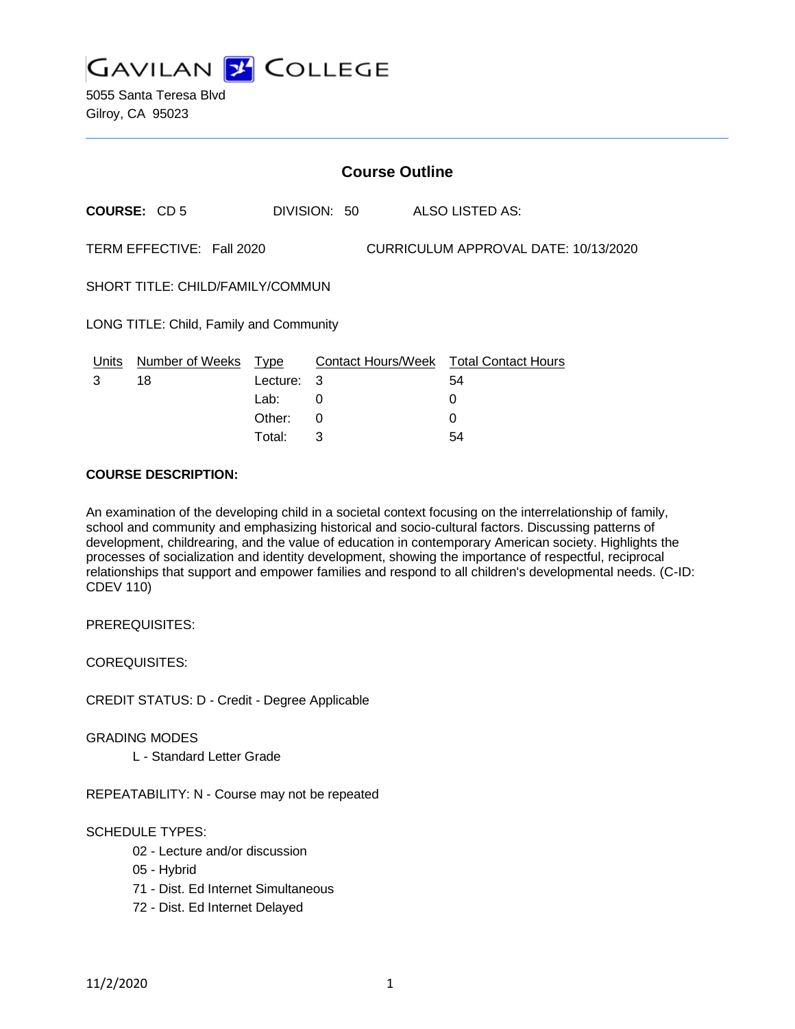

|                                                                   | <b>Course Outline</b>            |          |   |              |  |                                              |  |
|-------------------------------------------------------------------|----------------------------------|----------|---|--------------|--|----------------------------------------------|--|
|                                                                   | <b>COURSE: CD5</b>               |          |   | DIVISION: 50 |  | ALSO LISTED AS:                              |  |
| TERM EFFECTIVE: Fall 2020<br>CURRICULUM APPROVAL DATE: 10/13/2020 |                                  |          |   |              |  |                                              |  |
| SHORT TITLE: CHILD/FAMILY/COMMUN                                  |                                  |          |   |              |  |                                              |  |
| LONG TITLE: Child, Family and Community                           |                                  |          |   |              |  |                                              |  |
| 3                                                                 | Units Number of Weeks Type<br>18 | Lecture: | 3 |              |  | Contact Hours/Week Total Contact Hours<br>54 |  |
|                                                                   |                                  | Lab:     | 0 |              |  | 0                                            |  |
|                                                                   |                                  | Other:   | 0 |              |  |                                              |  |

Total: 3 54

### **COURSE DESCRIPTION:**

An examination of the developing child in a societal context focusing on the interrelationship of family, school and community and emphasizing historical and socio-cultural factors. Discussing patterns of development, childrearing, and the value of education in contemporary American society. Highlights the processes of socialization and identity development, showing the importance of respectful, reciprocal relationships that support and empower families and respond to all children's developmental needs. (C-ID: CDEV 110)

PREREQUISITES:

COREQUISITES:

CREDIT STATUS: D - Credit - Degree Applicable

#### GRADING MODES

L - Standard Letter Grade

REPEATABILITY: N - Course may not be repeated

## SCHEDULE TYPES:

- 02 Lecture and/or discussion
- 05 Hybrid
- 71 Dist. Ed Internet Simultaneous
- 72 Dist. Ed Internet Delayed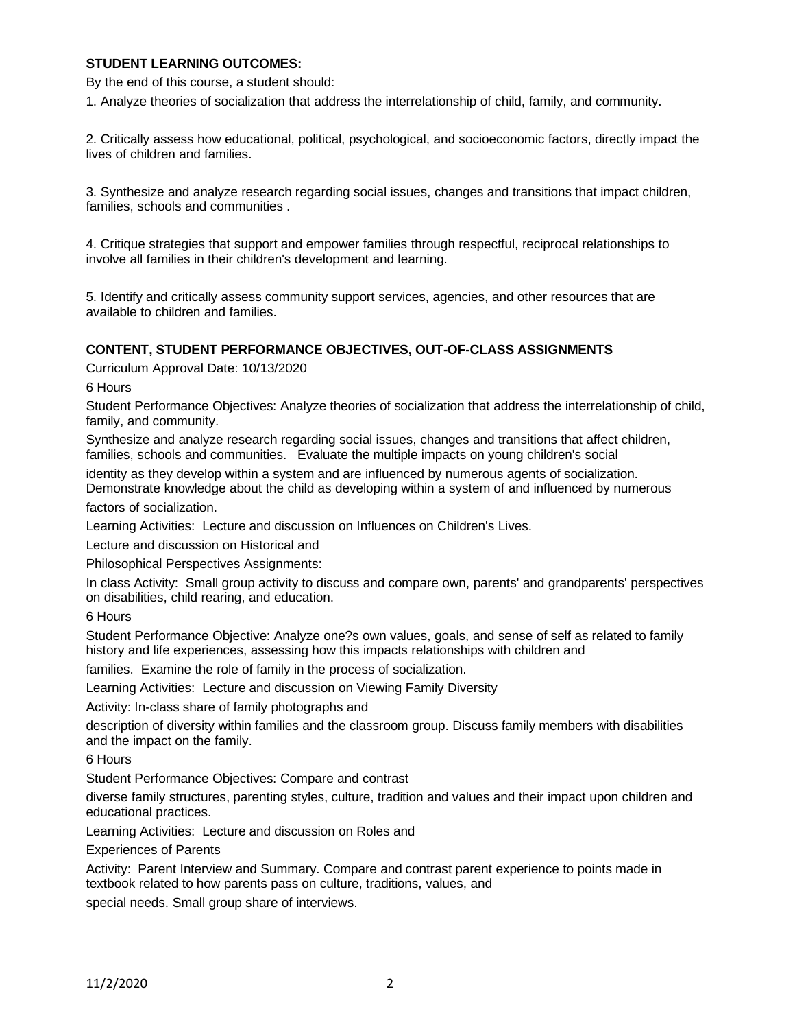## **STUDENT LEARNING OUTCOMES:**

By the end of this course, a student should:

1. Analyze theories of socialization that address the interrelationship of child, family, and community.

2. Critically assess how educational, political, psychological, and socioeconomic factors, directly impact the lives of children and families.

3. Synthesize and analyze research regarding social issues, changes and transitions that impact children, families, schools and communities .

4. Critique strategies that support and empower families through respectful, reciprocal relationships to involve all families in their children's development and learning.

5. Identify and critically assess community support services, agencies, and other resources that are available to children and families.

### **CONTENT, STUDENT PERFORMANCE OBJECTIVES, OUT-OF-CLASS ASSIGNMENTS**

Curriculum Approval Date: 10/13/2020

6 Hours

Student Performance Objectives: Analyze theories of socialization that address the interrelationship of child, family, and community.

Synthesize and analyze research regarding social issues, changes and transitions that affect children, families, schools and communities. Evaluate the multiple impacts on young children's social

identity as they develop within a system and are influenced by numerous agents of socialization. Demonstrate knowledge about the child as developing within a system of and influenced by numerous

factors of socialization.

Learning Activities: Lecture and discussion on Influences on Children's Lives.

Lecture and discussion on Historical and

Philosophical Perspectives Assignments:

In class Activity: Small group activity to discuss and compare own, parents' and grandparents' perspectives on disabilities, child rearing, and education.

6 Hours

Student Performance Objective: Analyze one?s own values, goals, and sense of self as related to family history and life experiences, assessing how this impacts relationships with children and

families. Examine the role of family in the process of socialization.

Learning Activities: Lecture and discussion on Viewing Family Diversity

Activity: In-class share of family photographs and

description of diversity within families and the classroom group. Discuss family members with disabilities and the impact on the family.

6 Hours

Student Performance Objectives: Compare and contrast

diverse family structures, parenting styles, culture, tradition and values and their impact upon children and educational practices.

Learning Activities: Lecture and discussion on Roles and

Experiences of Parents

Activity: Parent Interview and Summary. Compare and contrast parent experience to points made in textbook related to how parents pass on culture, traditions, values, and

special needs. Small group share of interviews.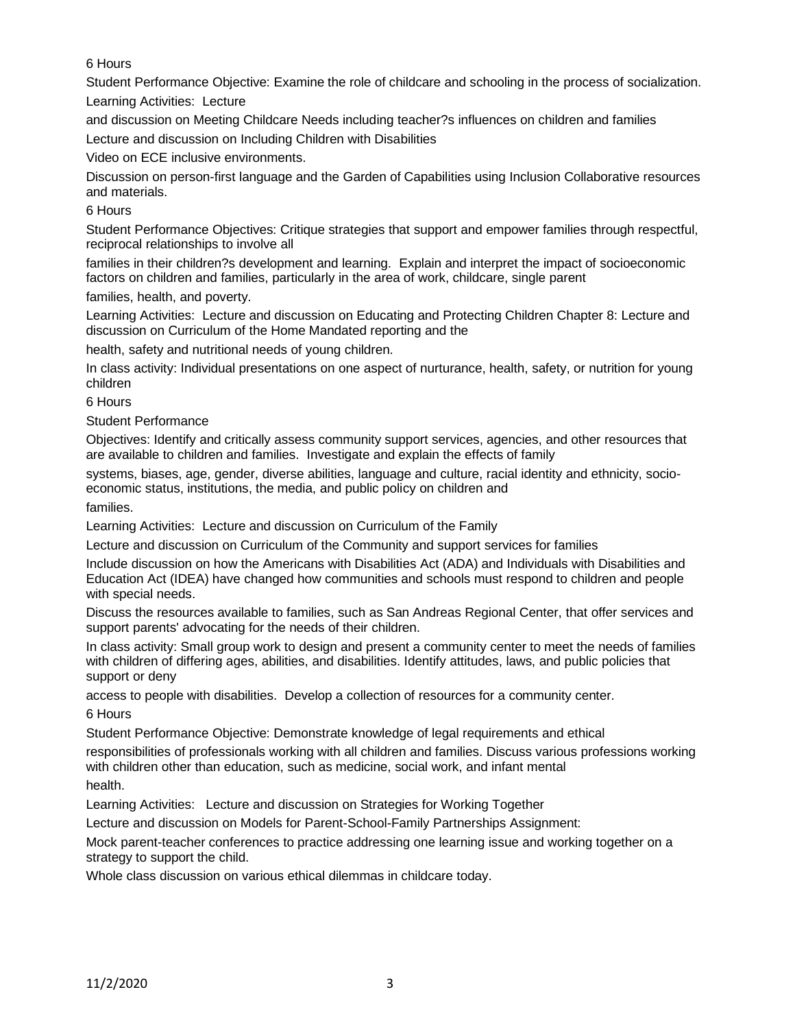6 Hours

Student Performance Objective: Examine the role of childcare and schooling in the process of socialization. Learning Activities: Lecture

and discussion on Meeting Childcare Needs including teacher?s influences on children and families

Lecture and discussion on Including Children with Disabilities

Video on ECE inclusive environments.

Discussion on person-first language and the Garden of Capabilities using Inclusion Collaborative resources and materials.

### 6 Hours

Student Performance Objectives: Critique strategies that support and empower families through respectful, reciprocal relationships to involve all

families in their children?s development and learning. Explain and interpret the impact of socioeconomic factors on children and families, particularly in the area of work, childcare, single parent

families, health, and poverty.

Learning Activities: Lecture and discussion on Educating and Protecting Children Chapter 8: Lecture and discussion on Curriculum of the Home Mandated reporting and the

health, safety and nutritional needs of young children.

In class activity: Individual presentations on one aspect of nurturance, health, safety, or nutrition for young children

6 Hours

Student Performance

Objectives: Identify and critically assess community support services, agencies, and other resources that are available to children and families. Investigate and explain the effects of family

systems, biases, age, gender, diverse abilities, language and culture, racial identity and ethnicity, socioeconomic status, institutions, the media, and public policy on children and

families.

Learning Activities: Lecture and discussion on Curriculum of the Family

Lecture and discussion on Curriculum of the Community and support services for families

Include discussion on how the Americans with Disabilities Act (ADA) and Individuals with Disabilities and Education Act (IDEA) have changed how communities and schools must respond to children and people with special needs.

Discuss the resources available to families, such as San Andreas Regional Center, that offer services and support parents' advocating for the needs of their children.

In class activity: Small group work to design and present a community center to meet the needs of families with children of differing ages, abilities, and disabilities. Identify attitudes, laws, and public policies that support or deny

access to people with disabilities. Develop a collection of resources for a community center.

6 Hours

Student Performance Objective: Demonstrate knowledge of legal requirements and ethical

responsibilities of professionals working with all children and families. Discuss various professions working with children other than education, such as medicine, social work, and infant mental

health.

Learning Activities: Lecture and discussion on Strategies for Working Together

Lecture and discussion on Models for Parent-School-Family Partnerships Assignment:

Mock parent-teacher conferences to practice addressing one learning issue and working together on a strategy to support the child.

Whole class discussion on various ethical dilemmas in childcare today.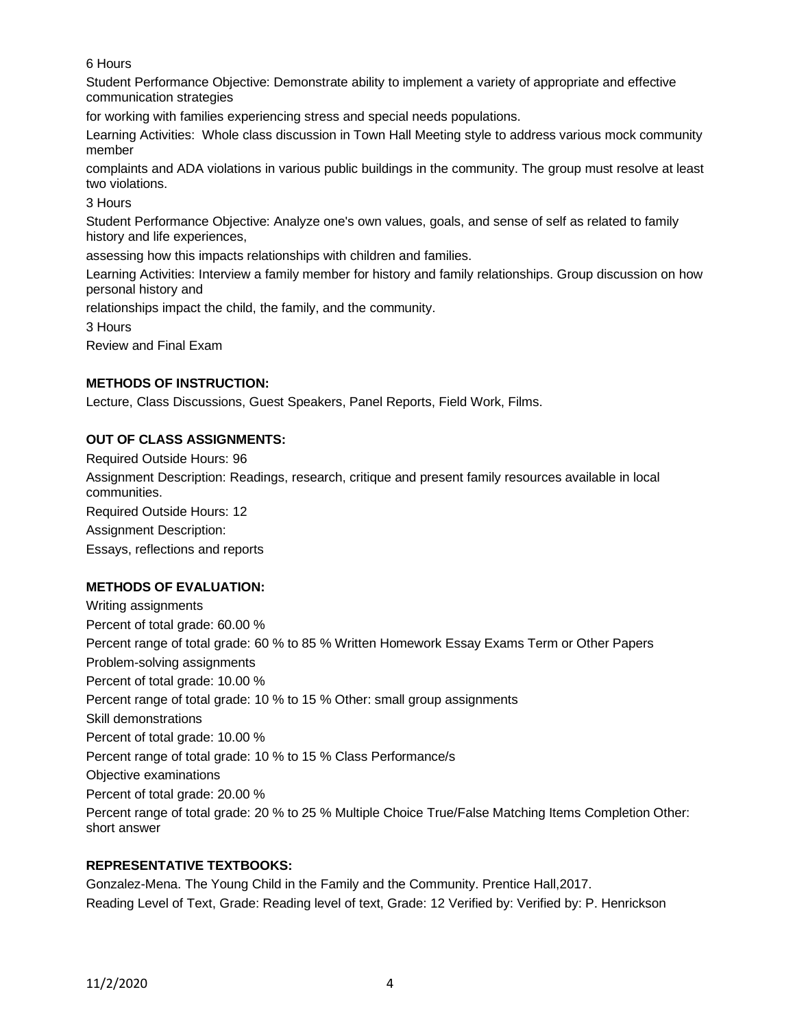6 Hours

Student Performance Objective: Demonstrate ability to implement a variety of appropriate and effective communication strategies

for working with families experiencing stress and special needs populations.

Learning Activities: Whole class discussion in Town Hall Meeting style to address various mock community member

complaints and ADA violations in various public buildings in the community. The group must resolve at least two violations.

3 Hours

Student Performance Objective: Analyze one's own values, goals, and sense of self as related to family history and life experiences,

assessing how this impacts relationships with children and families.

Learning Activities: Interview a family member for history and family relationships. Group discussion on how personal history and

relationships impact the child, the family, and the community.

3 Hours

Review and Final Exam

## **METHODS OF INSTRUCTION:**

Lecture, Class Discussions, Guest Speakers, Panel Reports, Field Work, Films.

# **OUT OF CLASS ASSIGNMENTS:**

Required Outside Hours: 96 Assignment Description: Readings, research, critique and present family resources available in local communities. Required Outside Hours: 12 Assignment Description: Essays, reflections and reports

# **METHODS OF EVALUATION:**

Writing assignments Percent of total grade: 60.00 % Percent range of total grade: 60 % to 85 % Written Homework Essay Exams Term or Other Papers Problem-solving assignments Percent of total grade: 10.00 % Percent range of total grade: 10 % to 15 % Other: small group assignments Skill demonstrations Percent of total grade: 10.00 % Percent range of total grade: 10 % to 15 % Class Performance/s Objective examinations Percent of total grade: 20.00 % Percent range of total grade: 20 % to 25 % Multiple Choice True/False Matching Items Completion Other: short answer

# **REPRESENTATIVE TEXTBOOKS:**

Gonzalez-Mena. The Young Child in the Family and the Community. Prentice Hall,2017. Reading Level of Text, Grade: Reading level of text, Grade: 12 Verified by: Verified by: P. Henrickson